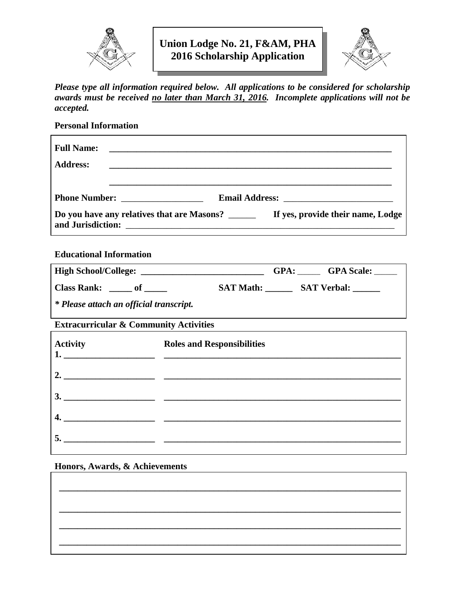

**Union Lodge No. 21, F&AM, PHA 2016 Scholarship Application**



*Please type all information required below. All applications to be considered for scholarship awards must be received no later than March 31, 2016 . Incomplete applications will not be accepted.*

**Personal Information Full Name: \_\_\_\_\_\_\_\_\_\_\_\_\_\_\_\_\_\_\_\_\_\_\_\_\_\_\_\_\_\_\_\_\_\_\_\_\_\_\_\_\_\_\_\_\_\_\_\_\_\_\_\_\_\_\_\_\_\_\_\_\_\_ Address: \_\_\_\_\_\_\_\_\_\_\_\_\_\_\_\_\_\_\_\_\_\_\_\_\_\_\_\_\_\_\_\_\_\_\_\_\_\_\_\_\_\_\_\_\_\_\_\_\_\_\_\_\_\_\_\_\_\_\_\_\_\_ \_\_\_\_\_\_\_\_\_\_\_\_\_\_\_\_\_\_\_\_\_\_\_\_\_\_\_\_\_\_\_\_\_\_\_\_\_\_\_\_\_\_\_\_\_\_\_\_\_\_\_\_\_\_\_\_\_\_\_\_\_\_ Phone Number: Letter Email Address: Email Address:**  $\blacksquare$ **Do you have any relatives that are Masons?** \_\_\_\_\_\_ **If yes, provide their name, Lodge and Jurisdiction:** \_\_\_\_\_\_\_\_\_\_\_\_\_\_\_\_\_\_\_\_\_\_\_\_\_\_\_\_\_\_\_\_\_\_\_\_\_\_\_\_\_\_\_\_\_\_\_\_\_\_\_\_\_\_\_\_\_\_\_

**Educational Information**

| <b>High School/College:</b> |                  | GPA: | <b>GPA</b> Scale:  |
|-----------------------------|------------------|------|--------------------|
| <b>Class Rank:</b>          | <b>SAT Math:</b> |      | <b>SAT Verbal:</b> |
| --- - -                     |                  |      |                    |

*\* Please attach an official transcript.*

**Extracurricular & Community Activities**

|    | Activity<br>1. Roles and Responsibilities<br>1. |
|----|-------------------------------------------------|
|    | 2. $\qquad \qquad$                              |
|    |                                                 |
| 4. |                                                 |
|    |                                                 |

 **\_\_\_\_\_\_\_\_\_\_\_\_\_\_\_\_\_\_\_\_\_\_\_\_\_\_\_\_\_\_\_\_\_\_\_\_\_\_\_\_\_\_\_\_\_\_\_\_\_\_\_\_\_\_\_\_\_\_\_\_\_\_\_\_\_\_\_\_\_\_\_\_\_\_\_**

 **\_\_\_\_\_\_\_\_\_\_\_\_\_\_\_\_\_\_\_\_\_\_\_\_\_\_\_\_\_\_\_\_\_\_\_\_\_\_\_\_\_\_\_\_\_\_\_\_\_\_\_\_\_\_\_\_\_\_\_\_\_\_\_\_\_\_\_\_\_\_\_\_\_\_\_**

 **\_\_\_\_\_\_\_\_\_\_\_\_\_\_\_\_\_\_\_\_\_\_\_\_\_\_\_\_\_\_\_\_\_\_\_\_\_\_\_\_\_\_\_\_\_\_\_\_\_\_\_\_\_\_\_\_\_\_\_\_\_\_\_\_\_\_\_\_\_\_\_\_\_\_\_**

## **Honors, Awards, & Achievements**